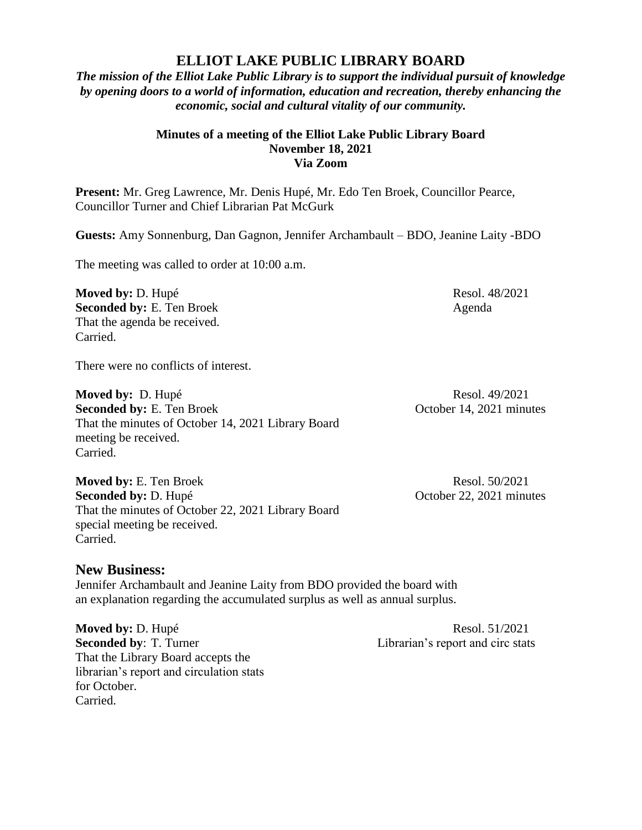## **ELLIOT LAKE PUBLIC LIBRARY BOARD**

*The mission of the Elliot Lake Public Library is to support the individual pursuit of knowledge by opening doors to a world of information, education and recreation, thereby enhancing the economic, social and cultural vitality of our community.*

## **Minutes of a meeting of the Elliot Lake Public Library Board November 18, 2021 Via Zoom**

**Present:** Mr. Greg Lawrence, Mr. Denis Hupé, Mr. Edo Ten Broek, Councillor Pearce, Councillor Turner and Chief Librarian Pat McGurk

**Guests:** Amy Sonnenburg, Dan Gagnon, Jennifer Archambault – BDO, Jeanine Laity -BDO

The meeting was called to order at 10:00 a.m.

**Moved by:** D. Hupé Resol. 48/2021 **Seconded by:** E. Ten Broek Agenda That the agenda be received. Carried.

There were no conflicts of interest.

**Moved by:** D. Hupé Resol. 49/2021 **Seconded by:** E. Ten Broek October 14, 2021 minutes That the minutes of October 14, 2021 Library Board meeting be received. Carried.

**Moved by:** E. Ten Broek Resol. 50/2021 **Seconded by:** D. Hupé **October 22, 2021 minutes** That the minutes of October 22, 2021 Library Board special meeting be received. Carried.

## **New Business:**

Jennifer Archambault and Jeanine Laity from BDO provided the board with an explanation regarding the accumulated surplus as well as annual surplus.

**Moved by: D. Hupé Resol. 51/2021 Seconded by:** T. Turner Librarian's report and circ stats That the Library Board accepts the librarian's report and circulation stats for October. Carried.